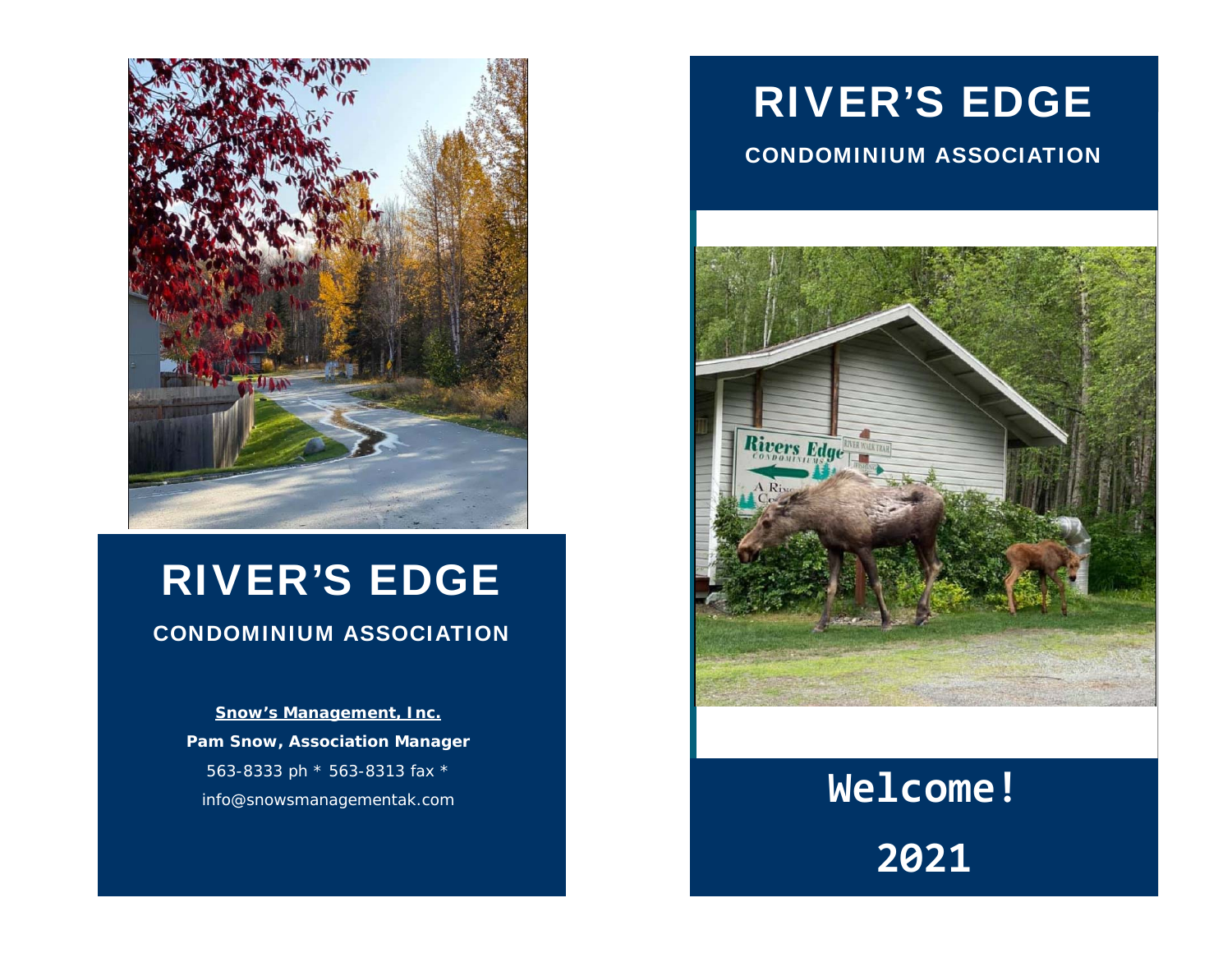

# RIVER'S EDGE

# CONDOMINIUM ASSOCIATION

**Snow's Management, Inc. Pam Snow, Association Manager**  563-8333 ph \* 563-8313 fax \* info@snowsmanagementak.com **Welcome!**

# RIVER'S EDGE

# CONDOMINIUM ASSOCIATION



**2021**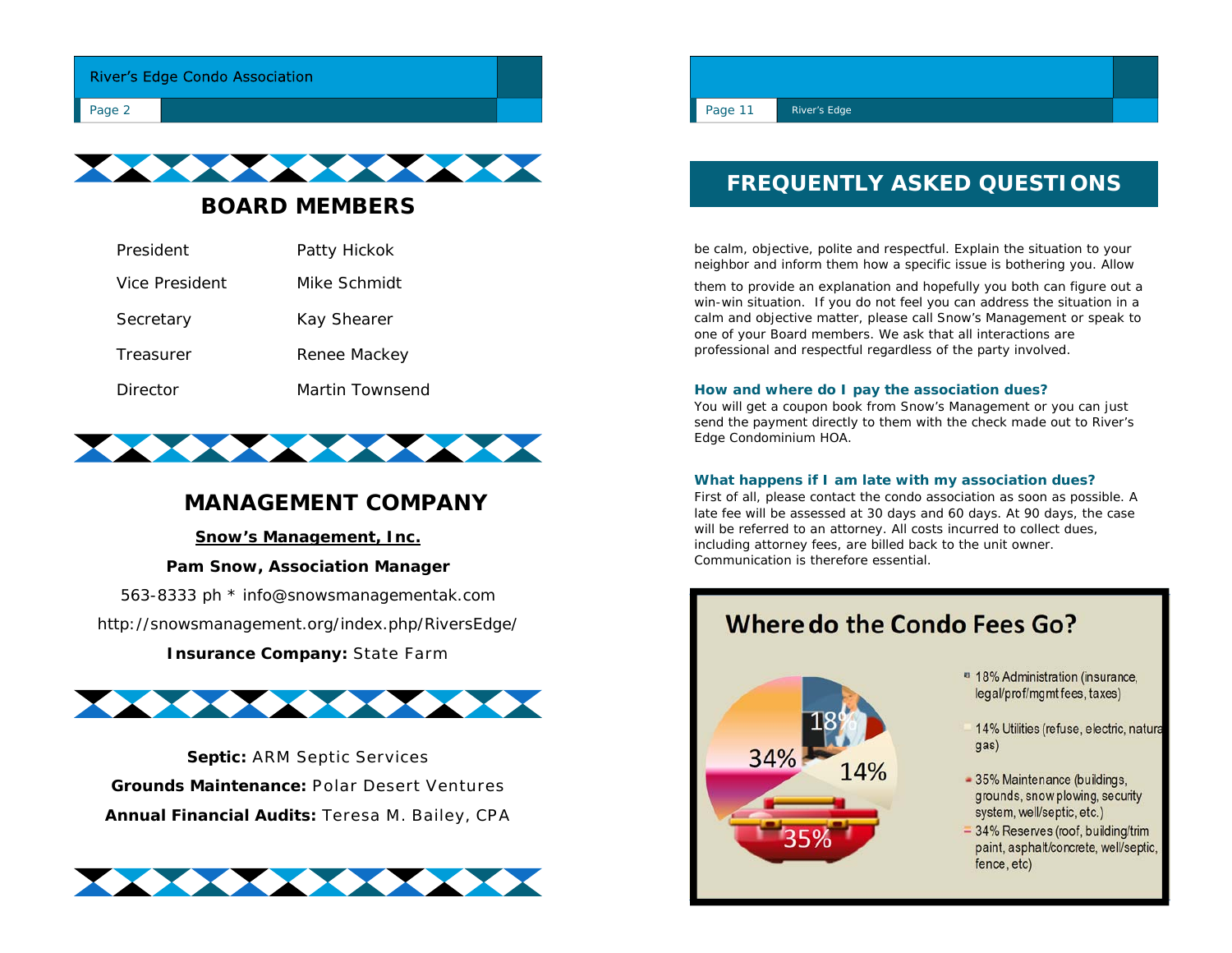

# **BOARD MEMBERS**

| President      | Patty Hickok    |
|----------------|-----------------|
| Vice President | Mike Schmidt    |
| Secretary      | Kay Shearer     |
| Treasurer      | Renee Mackey    |
| Director       | Martin Townsend |



# **MANAGEMENT COMPANY**

#### **Snow's Management, Inc.**

#### **Pam Snow, Association Manager**

563-8333 ph \* info@snowsmanagementak.com http://snowsmanagement.org/index.php/RiversEdge/ **Insurance Company:** State Farm



**Septic:** ARM Septic Services **Grounds Maintenance:** Polar Desert Ventures Annual Financial Audits: Teresa M. Bailey, CPA



Page 11 River's Edge

# **FREQUENTLY ASKED QUESTIONS**

be calm, objective, polite and respectful. Explain the situation to your neighbor and inform them how a specific issue is bothering you. Allow

them to provide an explanation and hopefully you both can figure out a win-win situation. If you do not feel you can address the situation in a calm and objective matter, please call Snow's Management or speak to one of your Board members. We ask that all interactions are professional and respectful regardless of the party involved.

#### **How and where do I pay the association dues?**

You will get a coupon book from Snow's Management or you can just send the payment directly to them with the check made out to *River's Edge Condominium HOA.*

#### **What happens if I am late with my association dues?**

First of all, please contact the condo association as soon as possible. A late fee will be assessed at 30 days and 60 days. At 90 days, the case will be referred to an attorney. All costs incurred to collect dues, including attorney fees, are billed back to the unit owner. Communication is therefore essential.

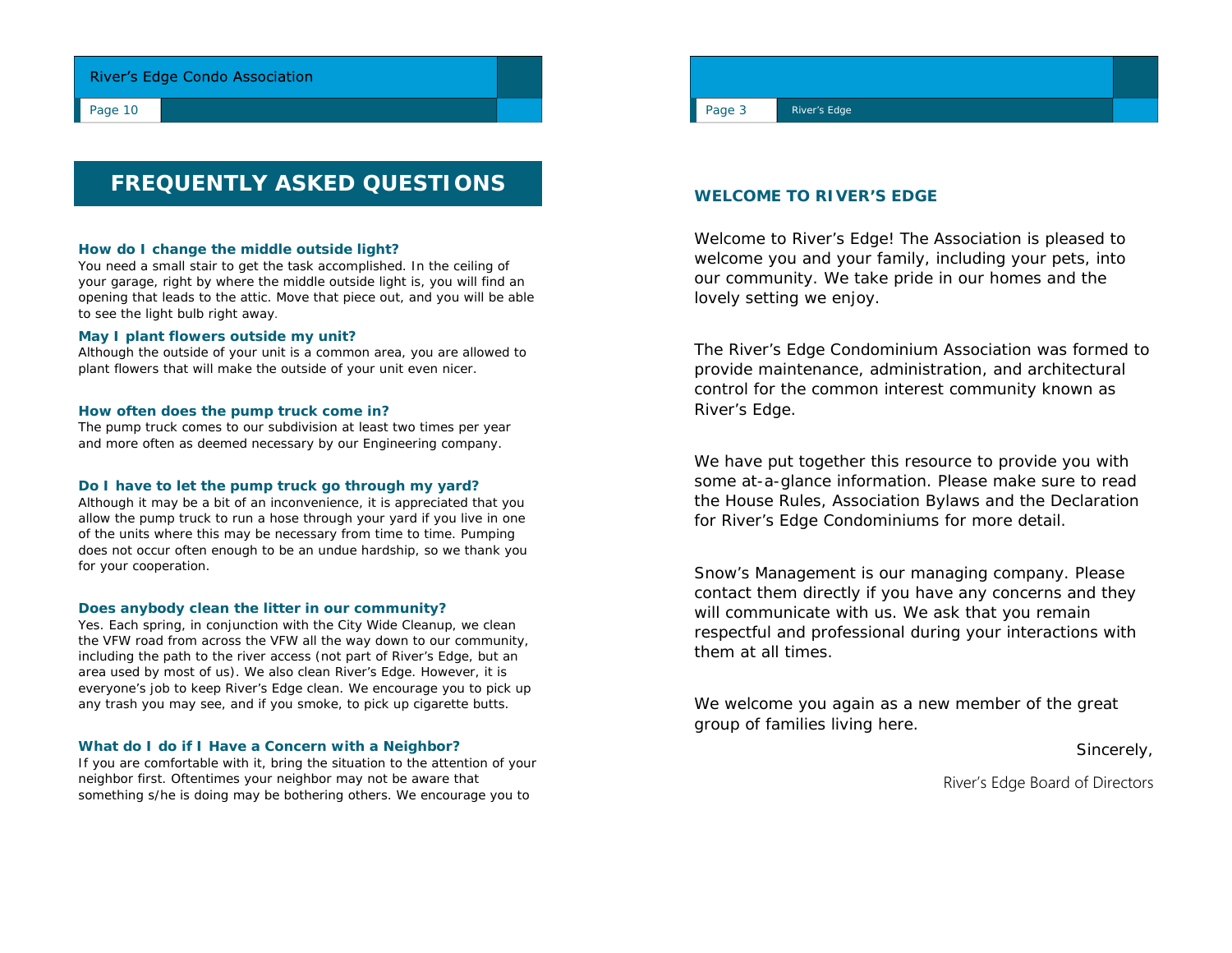Page 10

# **FREQUENTLY ASKED QUESTIONS**

#### **How do I change the middle outside light?**

You need a small stair to get the task accomplished. In the ceiling of your garage, right by where the middle outside light is, you will find an opening that leads to the attic. Move that piece out, and you will be able to see the light bulb right away.

#### **May I plant flowers outside my unit?**

Although the outside of your unit is a common area, you are allowed to plant flowers that will make the outside of your unit even nicer.

#### **How often does the pump truck come in?**

The pump truck comes to our subdivision at least two times per year and more often as deemed necessary by our Engineering company.

#### **Do I have to let the pump truck go through my yard?**

Although it may be a bit of an inconvenience, it is appreciated that you allow the pump truck to run a hose through your yard if you live in one of the units where this may be necessary from time to time. Pumping does not occur often enough to be an undue hardship, so we thank you for your cooperation.

#### **Does anybody clean the litter in our community?**

Yes. Each spring, in conjunction with the City Wide Cleanup, we clean the VFW road from across the VFW all the way down to our community, including the path to the river access (not part of River's Edge, but an area used by most of us). We also clean River's Edge. However, it is everyone's job to keep River's Edge clean. We encourage you to pick up any trash you may see, and if you smoke, to pick up cigarette butts.

#### **What do I do if I Have a Concern with a Neighbor?**

If you are comfortable with it, bring the situation to the attention of your neighbor first. Oftentimes your neighbor may not be aware that something s/he is doing may be bothering others. We encourage you to

#### **WELCOME TO RIVER'S EDGE**

Welcome to River's Edge! The Association is pleased to welcome you and your family, including your pets, into our community. We take pride in our homes and the lovely setting we enjoy.

The River's Edge Condominium Association was formed to provide maintenance, administration, and architectural control for the common interest community known as River's Edge.

We have put together this resource to provide you with some at-a-glance information. Please make sure to read the House Rules, Association Bylaws and the Declaration for River's Edge Condominiums for more detail.

Snow's Management is our managing company. Please contact them directly if you have any concerns and they will communicate with us. We ask that you remain respectful and professional during your interactions with them at all times.

We welcome you again as a new member of the great group of families living here.

Sincerely,

River's Edge Board of Directors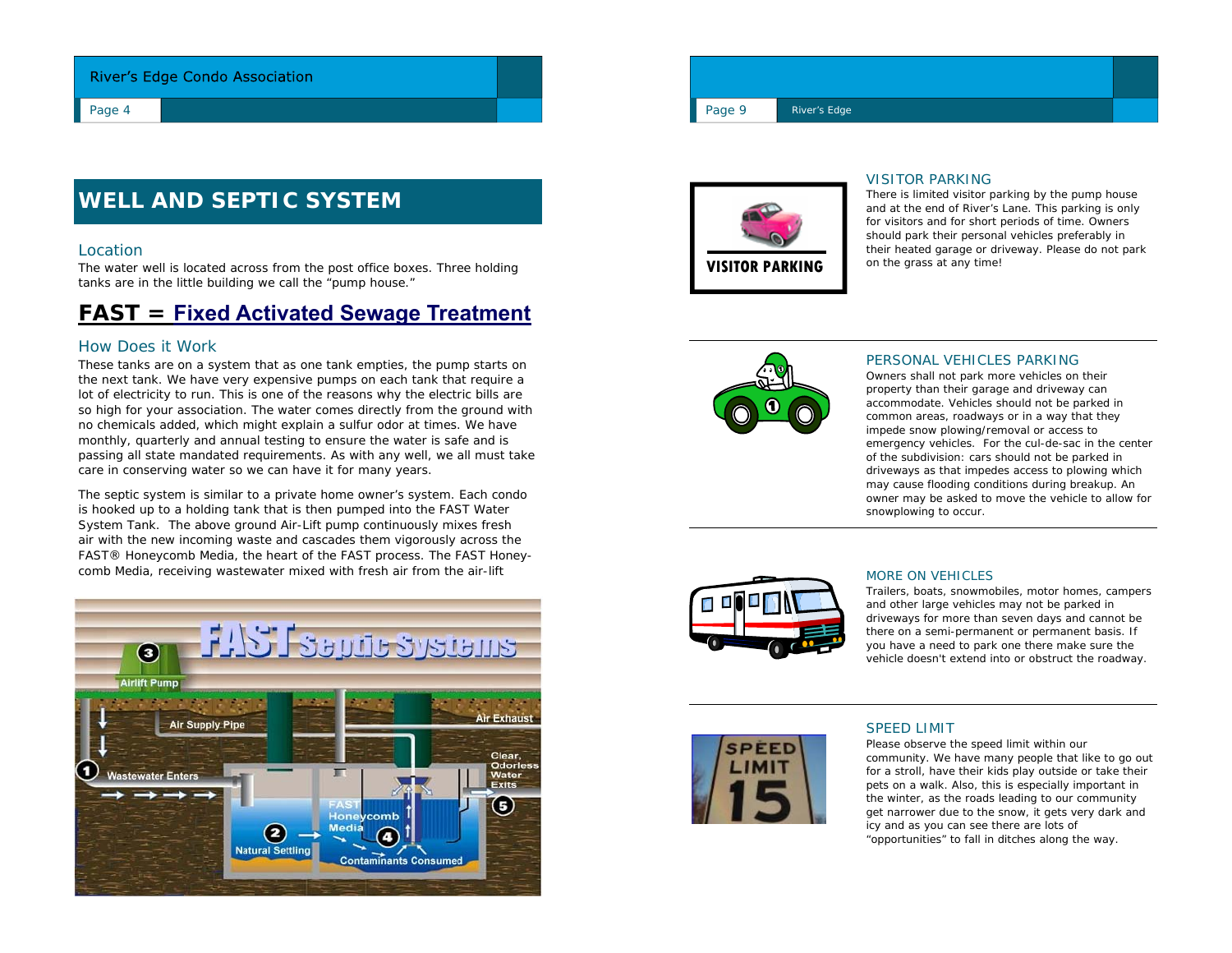#### Page 4

#### Page 9 River's Edge

# **VISITOR PARKING**

#### VISITOR PARKING

There is limited visitor parking by the pump house and at the end of River's Lane. This parking is only for visitors and for short periods of time. Owners should park their personal vehicles preferably in their heated garage or driveway. Please do not park on the grass at any time!

#### PERSONAL VEHICLES PARKING

Owners shall not park more vehicles on their property than their garage and driveway can accommodate. Vehicles should not be parked in common areas, roadways or in a way that they impede snow plowing/removal or access to emergency vehicles. For the cul-de-sac in the center of the subdivision: cars should not be parked in driveways as that impedes access to plowing which may cause flooding conditions during breakup. An owner may be asked to move the vehicle to allow for snowplowing to occur.



#### MORE ON VEHICLES

Trailers, boats, snowmobiles, motor homes, campers and other large vehicles may not be parked in driveways for more than seven days and cannot be there on a semi-permanent or permanent basis. If you have a need to park one there make sure the vehicle doesn't extend into or obstruct the roadway.



#### SPEED LIMIT

Please observe the speed limit within our community. We have many people that like to go out for a stroll, have their kids play outside or take their pets on a walk. Also, this is especially important in the winter, as the roads leading to our community get narrower due to the snow, it gets very dark and icy and as you can see there are lots of "opportunities" to fall in ditches along the way.

# **WELL AND SEPTIC SYSTEM**

#### Location

The water well is located across from the post office boxes. Three holding tanks are in the little building we call the "pump house."

### **FAST = Fixed Activated Sewage Treatment**

#### How Does it Work

These tanks are on a system that as one tank empties, the pump starts on the next tank. We have very expensive pumps on each tank that require a lot of electricity to run. This is one of the reasons why the electric bills are so high for your association. The water comes directly from the ground with no chemicals added, which might explain a sulfur odor at times. We have monthly, quarterly and annual testing to ensure the water is safe and is passing all state mandated requirements. As with any well, we all must take care in conserving water so we can have it for many years.

The septic system is similar to a private home owner's system. Each condo is hooked up to a holding tank that is then pumped into the FAST Water System Tank. The above ground Air-Lift pump continuously mixes fresh air with the new incoming waste and cascades them vigorously across the FAST® Honeycomb Media, the heart of the FAST process. The FAST Honeycomb Media, receiving wastewater mixed with fresh air from the air-lift

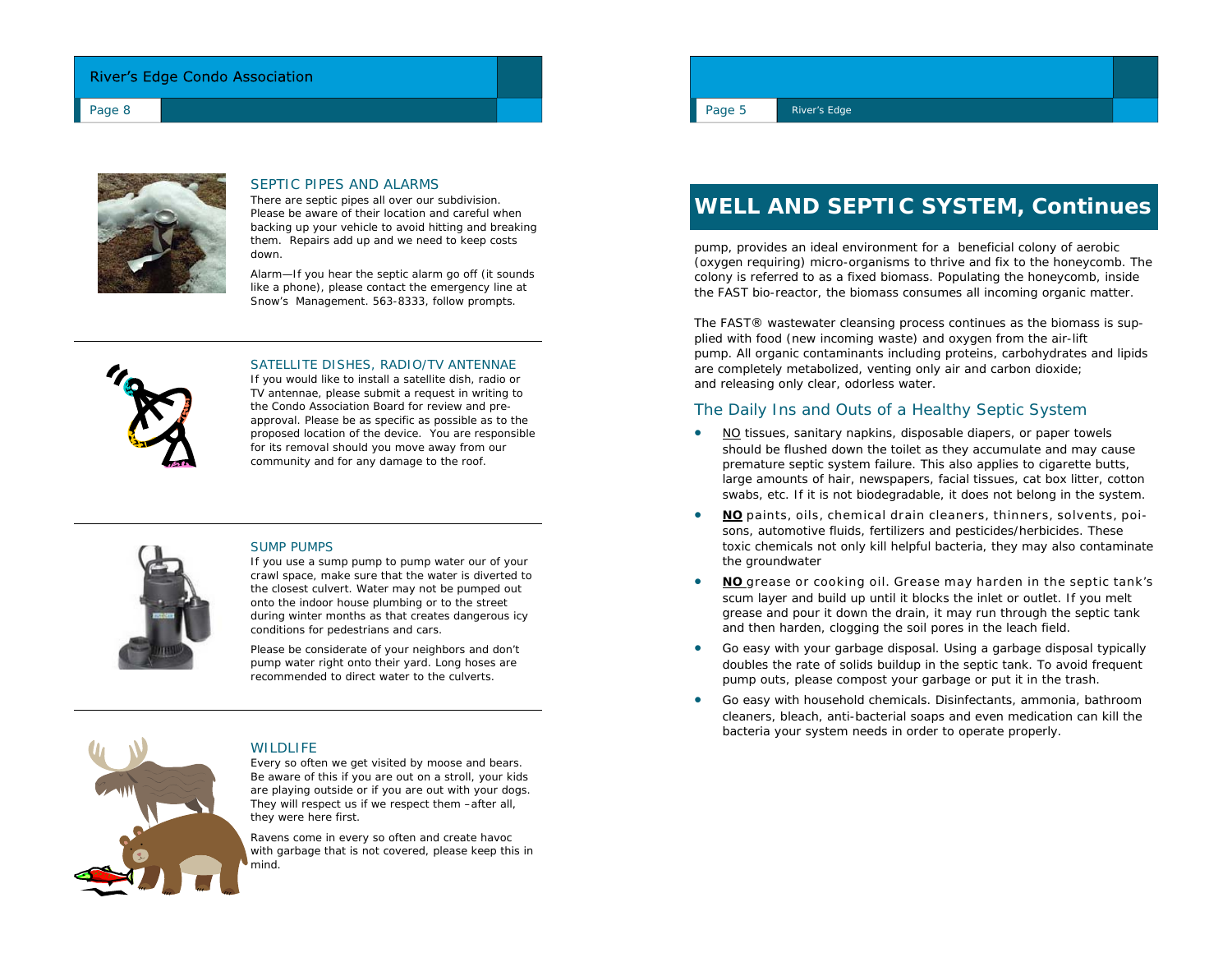

#### SEPTIC PIPES AND ALARMS

There are septic pipes all over our subdivision. Please be aware of their location and careful when backing up your vehicle to avoid hitting and breaking them. Repairs add up and we need to keep costs down.

*Alarm—*If you hear the septic alarm go off (it sounds like a phone), please contact the emergency line at Snow's Management. 563-8333, follow prompts.



#### SATELLITE DISHES, RADIO/TV ANTENNAE

If you would like to install a satellite dish, radio or TV antennae, please submit a request in writing to the Condo Association Board for review and preapproval. Please be as specific as possible as to the proposed location of the device. You are responsible for its removal should you move away from our community and for any damage to the roof.



#### SUMP PUMPS

If you use a sump pump to pump water our of your crawl space, make sure that the water is diverted to the closest culvert. Water may not be pumped out onto the indoor house plumbing or to the street during winter months as that creates dangerous icy conditions for pedestrians and cars.

Please be considerate of your neighbors and don't pump water right onto their yard. Long hoses are recommended to direct water to the culverts.



#### WILDLIFF

Every so often we get visited by moose and bears. Be aware of this if you are out on a stroll, your kids are playing outside or if you are out with your dogs. They will respect us if we respect them –after all, they were here first.

Ravens come in every so often and create havoc with garbage that is not covered, please keep this in mind.

Page 5 River's Edge

# **WELL AND SEPTIC SYSTEM, Continues**

pump, provides an ideal environment for a beneficial colony of aerobic (oxygen requiring) micro-organisms to thrive and fix to the honeycomb. The colony is referred to as a fixed biomass. Populating the honeycomb, inside the FAST bio-reactor, the biomass consumes all incoming organic matter.

The FAST ® wastewater cleansing process continues as the biomass is supplied with food (new incoming waste) and oxygen from the air-lift pump. All organic contaminants including proteins, carbohydrates and lipids are completely metabolized, venting only air and carbon dioxide; and releasing only clear, odorless water.

#### The Daily Ins and Outs of a Healthy Septic System

- $\bullet$ NO tissues, sanitary napkins, disposable diapers, or paper towels should be flushed down the toilet as they accumulate and may cause premature septic system failure. This also applies to cigarette butts, large amounts of hair, newspapers, facial tissues, cat box litter, cotton swabs, etc. If it is not biodegradable, it does not belong in the system.
- $\bullet$  **NO** paints, oils, chemical drain cleaners, thinners, solvents, poisons, automotive fluids, fertilizers and pesticides/herbicides. These toxic chemicals not only kill helpful bacteria, they may also contaminate the groundwater
- $\bullet$  **NO** grease or cooking oil. Grease may harden in the septic tank's scum layer and build up until it blocks the inlet or outlet. If you melt grease and pour it down the drain, it may run through the septic tank and then harden, clogging the soil pores in the leach field.
- $\bullet$  Go easy with your garbage disposal. Using a garbage disposal typically doubles the rate of solids buildup in the septic tank. To avoid frequent pump outs, please compost your garbage or put it in the trash.
- $\bullet$  Go easy with household chemicals. Disinfectants, ammonia, bathroom cleaners, bleach, anti-bacterial soaps and even medication can kill the bacteria your system needs in order to operate properly.